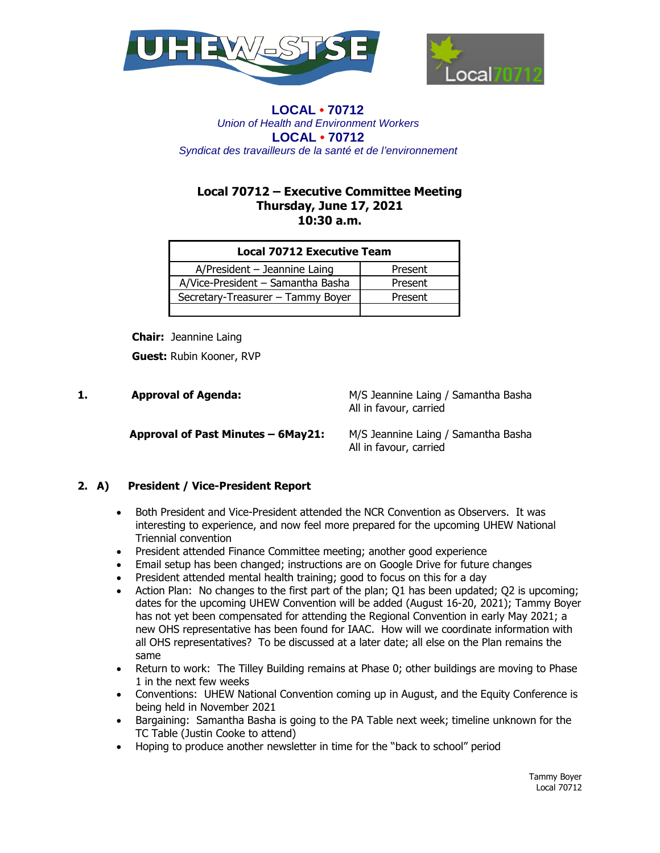



# **Local 70712 – Executive Committee Meeting Thursday, June 17, 2021 10:30 a.m.**

| <b>Local 70712 Executive Team</b> |         |
|-----------------------------------|---------|
| $A/P$ resident - Jeannine Laing   | Present |
| A/Vice-President - Samantha Basha | Present |
| Secretary-Treasurer - Tammy Boyer | Present |
|                                   |         |

 **Chair:** Jeannine Laing

 **Guest:** Rubin Kooner, RVP

**1. Approval of Agenda:** M/S Jeannine Laing / Samantha Basha All in favour, carried

 **Approval of Past Minutes – 6May21:** M/S Jeannine Laing / Samantha Basha

All in favour, carried

## **2. A) President / Vice-President Report**

- Both President and Vice-President attended the NCR Convention as Observers. It was interesting to experience, and now feel more prepared for the upcoming UHEW National Triennial convention
- President attended Finance Committee meeting; another good experience
- Email setup has been changed; instructions are on Google Drive for future changes
- President attended mental health training; good to focus on this for a day
- Action Plan: No changes to the first part of the plan; Q1 has been updated; Q2 is upcoming; dates for the upcoming UHEW Convention will be added (August 16-20, 2021); Tammy Boyer has not yet been compensated for attending the Regional Convention in early May 2021; a new OHS representative has been found for IAAC. How will we coordinate information with all OHS representatives? To be discussed at a later date; all else on the Plan remains the same
- Return to work: The Tilley Building remains at Phase 0; other buildings are moving to Phase 1 in the next few weeks
- Conventions: UHEW National Convention coming up in August, and the Equity Conference is being held in November 2021
- Bargaining: Samantha Basha is going to the PA Table next week; timeline unknown for the TC Table (Justin Cooke to attend)
- Hoping to produce another newsletter in time for the "back to school" period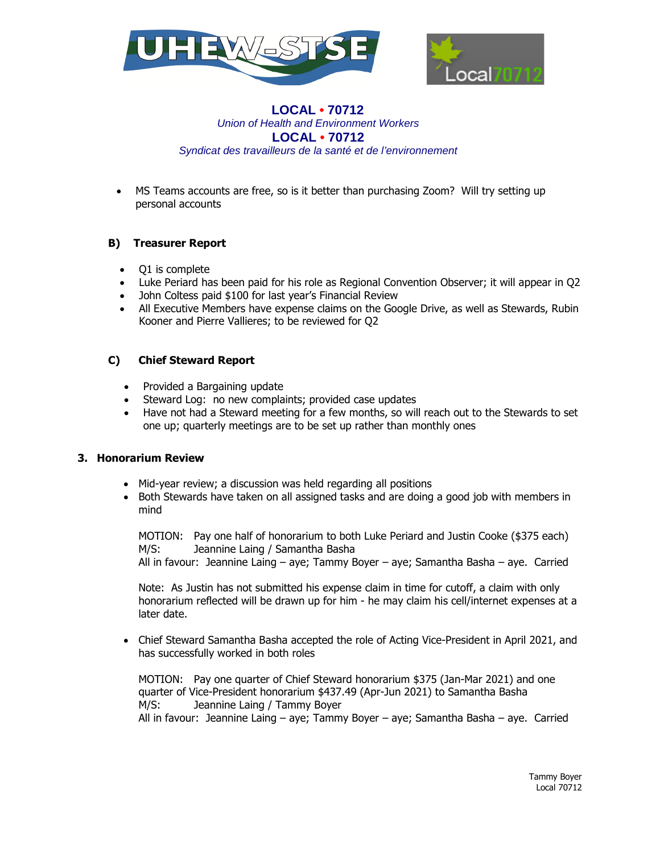



 MS Teams accounts are free, so is it better than purchasing Zoom? Will try setting up personal accounts

# **B) Treasurer Report**

- Q1 is complete
- Luke Periard has been paid for his role as Regional Convention Observer; it will appear in Q2
- John Coltess paid \$100 for last year's Financial Review
- All Executive Members have expense claims on the Google Drive, as well as Stewards, Rubin Kooner and Pierre Vallieres; to be reviewed for Q2

## **C) Chief Steward Report**

- Provided a Bargaining update
- Steward Log: no new complaints; provided case updates
- Have not had a Steward meeting for a few months, so will reach out to the Stewards to set one up; quarterly meetings are to be set up rather than monthly ones

## **3. Honorarium Review**

- Mid-year review; a discussion was held regarding all positions
- Both Stewards have taken on all assigned tasks and are doing a good job with members in mind

MOTION: Pay one half of honorarium to both Luke Periard and Justin Cooke (\$375 each) M/S: Jeannine Laing / Samantha Basha

All in favour: Jeannine Laing – aye; Tammy Boyer – aye; Samantha Basha – aye. Carried

Note: As Justin has not submitted his expense claim in time for cutoff, a claim with only honorarium reflected will be drawn up for him - he may claim his cell/internet expenses at a later date.

 Chief Steward Samantha Basha accepted the role of Acting Vice-President in April 2021, and has successfully worked in both roles

MOTION: Pay one quarter of Chief Steward honorarium \$375 (Jan-Mar 2021) and one quarter of Vice-President honorarium \$437.49 (Apr-Jun 2021) to Samantha Basha M/S: Jeannine Laing / Tammy Boyer All in favour: Jeannine Laing – aye; Tammy Boyer – aye; Samantha Basha – aye. Carried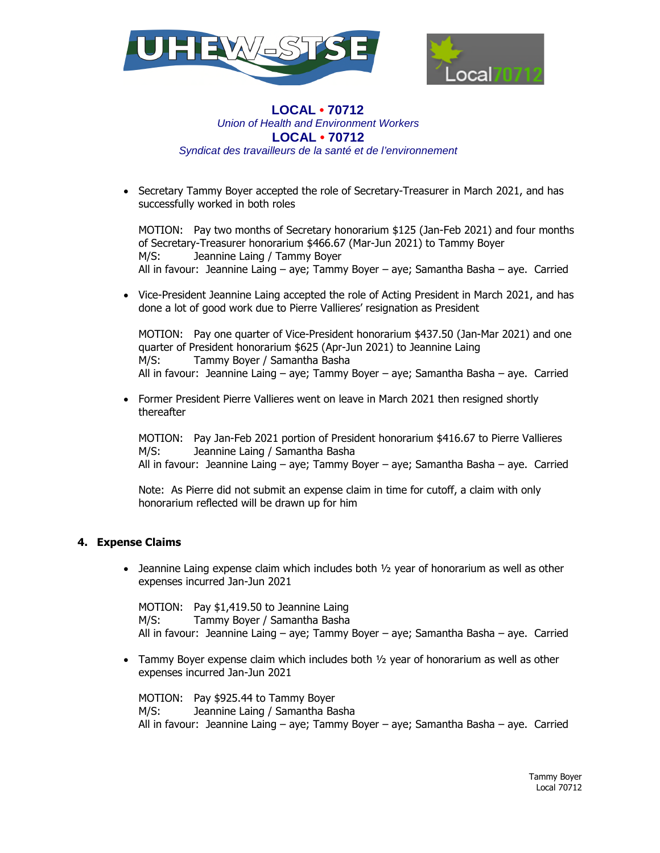



 Secretary Tammy Boyer accepted the role of Secretary-Treasurer in March 2021, and has successfully worked in both roles

MOTION: Pay two months of Secretary honorarium \$125 (Jan-Feb 2021) and four months of Secretary-Treasurer honorarium \$466.67 (Mar-Jun 2021) to Tammy Boyer M/S: Jeannine Laing / Tammy Boyer All in favour: Jeannine Laing – aye; Tammy Boyer – aye; Samantha Basha – aye. Carried

 Vice-President Jeannine Laing accepted the role of Acting President in March 2021, and has done a lot of good work due to Pierre Vallieres' resignation as President

MOTION: Pay one quarter of Vice-President honorarium \$437.50 (Jan-Mar 2021) and one quarter of President honorarium \$625 (Apr-Jun 2021) to Jeannine Laing M/S: Tammy Boyer / Samantha Basha All in favour: Jeannine Laing – aye; Tammy Boyer – aye; Samantha Basha – aye. Carried

• Former President Pierre Vallieres went on leave in March 2021 then resigned shortly thereafter

MOTION: Pay Jan-Feb 2021 portion of President honorarium \$416.67 to Pierre Vallieres M/S: Jeannine Laing / Samantha Basha All in favour: Jeannine Laing – aye; Tammy Boyer – aye; Samantha Basha – aye. Carried

Note: As Pierre did not submit an expense claim in time for cutoff, a claim with only honorarium reflected will be drawn up for him

## **4. Expense Claims**

• Jeannine Laing expense claim which includes both  $\frac{1}{2}$  year of honorarium as well as other expenses incurred Jan-Jun 2021

MOTION: Pay \$1,419.50 to Jeannine Laing M/S: Tammy Boyer / Samantha Basha All in favour: Jeannine Laing – aye; Tammy Boyer – aye; Samantha Basha – aye. Carried

 $\bullet$  Tammy Boyer expense claim which includes both  $\frac{1}{2}$  year of honorarium as well as other expenses incurred Jan-Jun 2021

MOTION: Pay \$925.44 to Tammy Boyer M/S: Jeannine Laing / Samantha Basha All in favour: Jeannine Laing – aye; Tammy Boyer – aye; Samantha Basha – aye. Carried